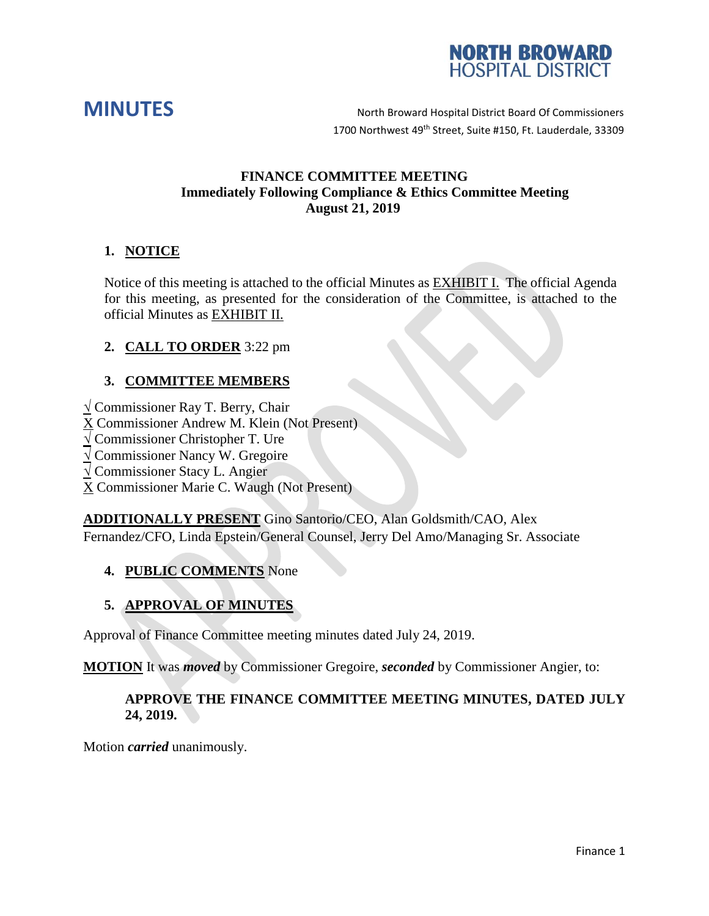



### **FINANCE COMMITTEE MEETING Immediately Following Compliance & Ethics Committee Meeting August 21, 2019**

## **1. NOTICE**

Notice of this meeting is attached to the official Minutes as EXHIBIT I. The official Agenda for this meeting, as presented for the consideration of the Committee, is attached to the official Minutes as EXHIBIT II.

## **2. CALL TO ORDER** 3:22 pm

## **3. COMMITTEE MEMBERS**

**√** Commissioner Ray T. Berry, Chair

X Commissioner Andrew M. Klein (Not Present)

**√** Commissioner Christopher T. Ure

**√** Commissioner Nancy W. Gregoire

**√** Commissioner Stacy L. Angier

X Commissioner Marie C. Waugh (Not Present)

**ADDITIONALLY PRESENT** Gino Santorio/CEO, Alan Goldsmith/CAO, Alex Fernandez/CFO, Linda Epstein/General Counsel, Jerry Del Amo/Managing Sr. Associate

### **4. PUBLIC COMMENTS** None

# **5. APPROVAL OF MINUTES**

Approval of Finance Committee meeting minutes dated July 24, 2019.

**MOTION** It was *moved* by Commissioner Gregoire, *seconded* by Commissioner Angier, to:

### **APPROVE THE FINANCE COMMITTEE MEETING MINUTES, DATED JULY 24, 2019.**

Motion *carried* unanimously.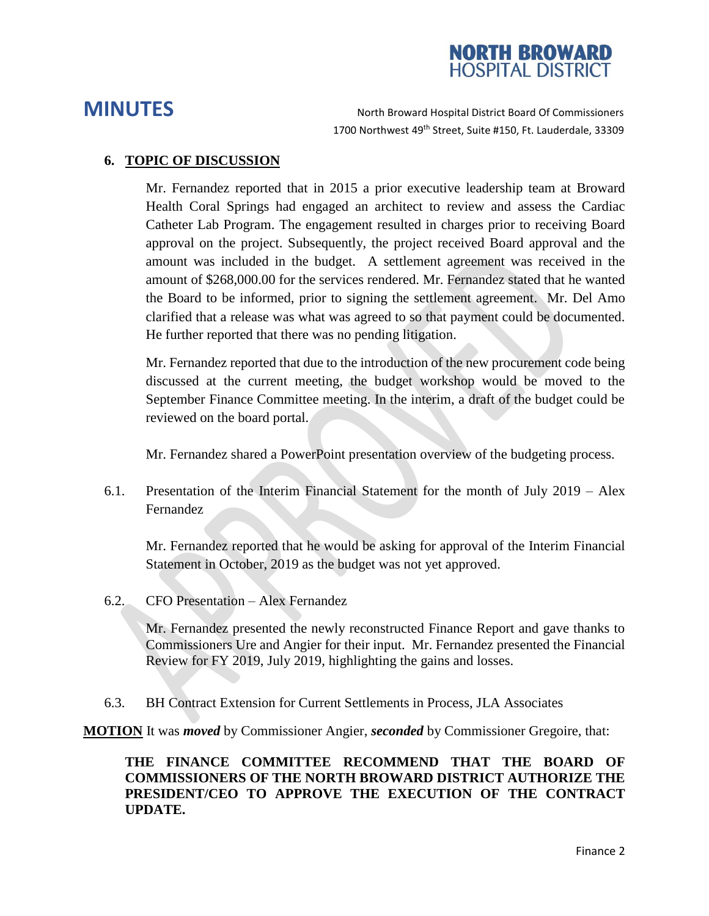

### **6. TOPIC OF DISCUSSION**

Mr. Fernandez reported that in 2015 a prior executive leadership team at Broward Health Coral Springs had engaged an architect to review and assess the Cardiac Catheter Lab Program. The engagement resulted in charges prior to receiving Board approval on the project. Subsequently, the project received Board approval and the amount was included in the budget. A settlement agreement was received in the amount of \$268,000.00 for the services rendered. Mr. Fernandez stated that he wanted the Board to be informed, prior to signing the settlement agreement. Mr. Del Amo clarified that a release was what was agreed to so that payment could be documented. He further reported that there was no pending litigation.

Mr. Fernandez reported that due to the introduction of the new procurement code being discussed at the current meeting, the budget workshop would be moved to the September Finance Committee meeting. In the interim, a draft of the budget could be reviewed on the board portal.

Mr. Fernandez shared a PowerPoint presentation overview of the budgeting process.

6.1. Presentation of the Interim Financial Statement for the month of July 2019 – Alex Fernandez

Mr. Fernandez reported that he would be asking for approval of the Interim Financial Statement in October, 2019 as the budget was not yet approved.

6.2. CFO Presentation – Alex Fernandez

Mr. Fernandez presented the newly reconstructed Finance Report and gave thanks to Commissioners Ure and Angier for their input. Mr. Fernandez presented the Financial Review for FY 2019, July 2019, highlighting the gains and losses.

6.3. BH Contract Extension for Current Settlements in Process, JLA Associates

**MOTION** It was *moved* by Commissioner Angier, *seconded* by Commissioner Gregoire, that:

### **THE FINANCE COMMITTEE RECOMMEND THAT THE BOARD OF COMMISSIONERS OF THE NORTH BROWARD DISTRICT AUTHORIZE THE PRESIDENT/CEO TO APPROVE THE EXECUTION OF THE CONTRACT UPDATE.**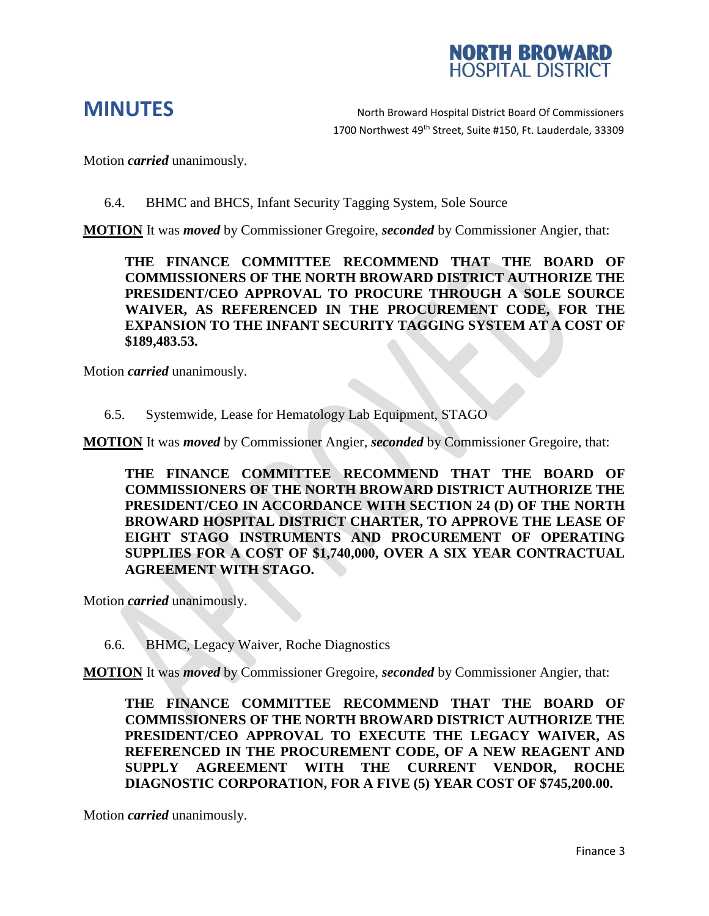

Motion *carried* unanimously.

6.4. BHMC and BHCS, Infant Security Tagging System, Sole Source

**MOTION** It was *moved* by Commissioner Gregoire, *seconded* by Commissioner Angier, that:

**THE FINANCE COMMITTEE RECOMMEND THAT THE BOARD OF COMMISSIONERS OF THE NORTH BROWARD DISTRICT AUTHORIZE THE PRESIDENT/CEO APPROVAL TO PROCURE THROUGH A SOLE SOURCE WAIVER, AS REFERENCED IN THE PROCUREMENT CODE, FOR THE EXPANSION TO THE INFANT SECURITY TAGGING SYSTEM AT A COST OF \$189,483.53.** 

Motion *carried* unanimously.

6.5. Systemwide, Lease for Hematology Lab Equipment, STAGO

**MOTION** It was *moved* by Commissioner Angier, *seconded* by Commissioner Gregoire, that:

**THE FINANCE COMMITTEE RECOMMEND THAT THE BOARD OF COMMISSIONERS OF THE NORTH BROWARD DISTRICT AUTHORIZE THE PRESIDENT/CEO IN ACCORDANCE WITH SECTION 24 (D) OF THE NORTH BROWARD HOSPITAL DISTRICT CHARTER, TO APPROVE THE LEASE OF EIGHT STAGO INSTRUMENTS AND PROCUREMENT OF OPERATING SUPPLIES FOR A COST OF \$1,740,000, OVER A SIX YEAR CONTRACTUAL AGREEMENT WITH STAGO.**

Motion *carried* unanimously.

6.6. BHMC, Legacy Waiver, Roche Diagnostics

**MOTION** It was *moved* by Commissioner Gregoire, *seconded* by Commissioner Angier, that:

**THE FINANCE COMMITTEE RECOMMEND THAT THE BOARD OF COMMISSIONERS OF THE NORTH BROWARD DISTRICT AUTHORIZE THE PRESIDENT/CEO APPROVAL TO EXECUTE THE LEGACY WAIVER, AS REFERENCED IN THE PROCUREMENT CODE, OF A NEW REAGENT AND SUPPLY AGREEMENT WITH THE CURRENT VENDOR, ROCHE DIAGNOSTIC CORPORATION, FOR A FIVE (5) YEAR COST OF \$745,200.00.**

Motion *carried* unanimously.